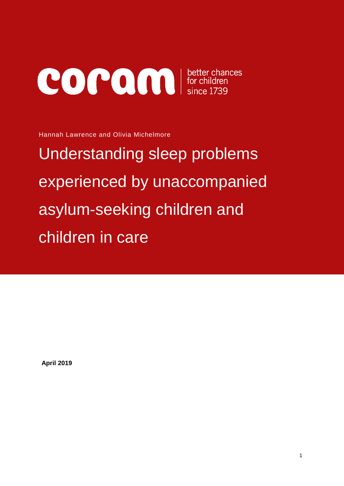# **COPON** etter chances<br>for children<br>since 1739

Hannah Lawrence and Olivia Michelmore

Understanding sleep problems experienced by unaccompanied asylum-seeking children and children in care

**April 2019**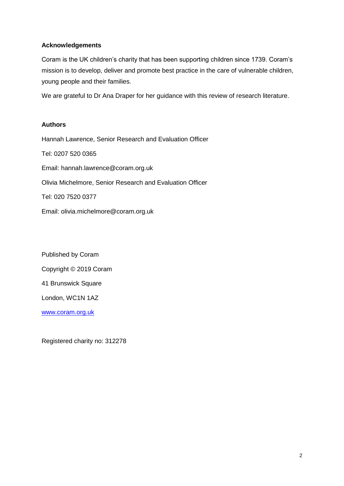#### **Acknowledgements**

Coram is the UK children's charity that has been supporting children since 1739. Coram's mission is to develop, deliver and promote best practice in the care of vulnerable children, young people and their families.

We are grateful to Dr Ana Draper for her guidance with this review of research literature.

### **Authors**

Hannah Lawrence, Senior Research and Evaluation Officer Tel: 0207 520 0365 Email: hannah.lawrence@coram.org.uk Olivia Michelmore, Senior Research and Evaluation Officer Tel: 020 7520 0377 Email: olivia.michelmore@coram.org.uk

Published by Coram Copyright © 2019 Coram 41 Brunswick Square London, WC1N 1AZ [www.coram.org.uk](http://www.coram.org.uk/)

Registered charity no: 312278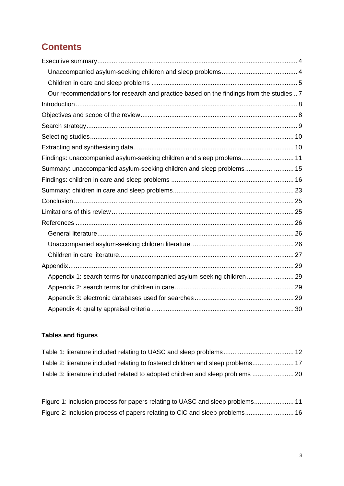# **Contents**

| Our recommendations for research and practice based on the findings from the studies  7 |  |
|-----------------------------------------------------------------------------------------|--|
|                                                                                         |  |
|                                                                                         |  |
|                                                                                         |  |
|                                                                                         |  |
|                                                                                         |  |
| Findings: unaccompanied asylum-seeking children and sleep problems 11                   |  |
| Summary: unaccompanied asylum-seeking children and sleep problems 15                    |  |
|                                                                                         |  |
|                                                                                         |  |
|                                                                                         |  |
|                                                                                         |  |
|                                                                                         |  |
|                                                                                         |  |
|                                                                                         |  |
|                                                                                         |  |
|                                                                                         |  |
| Appendix 1: search terms for unaccompanied asylum-seeking children  29                  |  |
|                                                                                         |  |
|                                                                                         |  |
|                                                                                         |  |

## **Tables and figures**

| Table 2: literature included relating to fostered children and sleep problems 17 |  |
|----------------------------------------------------------------------------------|--|
| Table 3: literature included related to adopted children and sleep problems  20  |  |

[Figure 1: inclusion process for papers relating to UASC and sleep problems......................](#page-10-1) 11 [Figure 2: inclusion process of papers relating to CiC and sleep problems...........................](#page-15-1) 16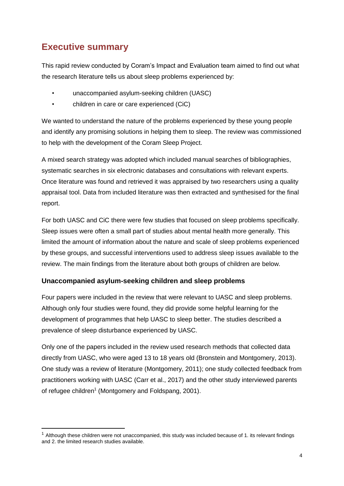# <span id="page-3-0"></span>**Executive summary**

-

This rapid review conducted by Coram's Impact and Evaluation team aimed to find out what the research literature tells us about sleep problems experienced by:

- unaccompanied asylum-seeking children (UASC)
- children in care or care experienced (CiC)

We wanted to understand the nature of the problems experienced by these young people and identify any promising solutions in helping them to sleep. The review was commissioned to help with the development of the Coram Sleep Project.

A mixed search strategy was adopted which included manual searches of bibliographies, systematic searches in six electronic databases and consultations with relevant experts. Once literature was found and retrieved it was appraised by two researchers using a quality appraisal tool. Data from included literature was then extracted and synthesised for the final report.

For both UASC and CiC there were few studies that focused on sleep problems specifically. Sleep issues were often a small part of studies about mental health more generally. This limited the amount of information about the nature and scale of sleep problems experienced by these groups, and successful interventions used to address sleep issues available to the review. The main findings from the literature about both groups of children are below.

## <span id="page-3-1"></span>**Unaccompanied asylum-seeking children and sleep problems**

Four papers were included in the review that were relevant to UASC and sleep problems. Although only four studies were found, they did provide some helpful learning for the development of programmes that help UASC to sleep better. The studies described a prevalence of sleep disturbance experienced by UASC.

Only one of the papers included in the review used research methods that collected data directly from UASC, who were aged 13 to 18 years old (Bronstein and Montgomery, 2013). One study was a review of literature (Montgomery, 2011); one study collected feedback from practitioners working with UASC (Carr et al., 2017) and the other study interviewed parents of refugee children<sup>1</sup> (Montgomery and Foldspang, 2001).

 $1$  Although these children were not unaccompanied, this study was included because of 1. its relevant findings and 2. the limited research studies available.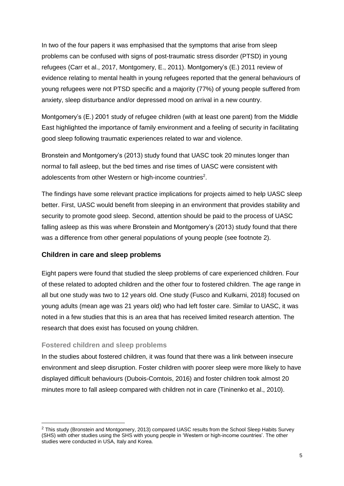In two of the four papers it was emphasised that the symptoms that arise from sleep problems can be confused with signs of post-traumatic stress disorder (PTSD) in young refugees (Carr et al., 2017, Montgomery, E., 2011). Montgomery's (E.) 2011 review of evidence relating to mental health in young refugees reported that the general behaviours of young refugees were not PTSD specific and a majority (77%) of young people suffered from anxiety, sleep disturbance and/or depressed mood on arrival in a new country.

Montgomery's (E.) 2001 study of refugee children (with at least one parent) from the Middle East highlighted the importance of family environment and a feeling of security in facilitating good sleep following traumatic experiences related to war and violence.

Bronstein and Montgomery's (2013) study found that UASC took 20 minutes longer than normal to fall asleep, but the bed times and rise times of UASC were consistent with adolescents from other Western or high-income countries<sup>2</sup>.

The findings have some relevant practice implications for projects aimed to help UASC sleep better. First, UASC would benefit from sleeping in an environment that provides stability and security to promote good sleep. Second, attention should be paid to the process of UASC falling asleep as this was where Bronstein and Montgomery's (2013) study found that there was a difference from other general populations of young people (see footnote 2).

## <span id="page-4-0"></span>**Children in care and sleep problems**

Eight papers were found that studied the sleep problems of care experienced children. Four of these related to adopted children and the other four to fostered children. The age range in all but one study was two to 12 years old. One study (Fusco and Kulkarni, 2018) focused on young adults (mean age was 21 years old) who had left foster care. Similar to UASC, it was noted in a few studies that this is an area that has received limited research attention. The research that does exist has focused on young children.

## **Fostered children and sleep problems**

-

In the studies about fostered children, it was found that there was a link between insecure environment and sleep disruption. Foster children with poorer sleep were more likely to have displayed difficult behaviours (Dubois-Comtois, 2016) and foster children took almost 20 minutes more to fall asleep compared with children not in care (Tininenko et al., 2010).

<sup>&</sup>lt;sup>2</sup> This study (Bronstein and Montgomery, 2013) compared UASC results from the School Sleep Habits Survey (SHS) with other studies using the SHS with young people in 'Western or high-income countries'. The other studies were conducted in USA, Italy and Korea.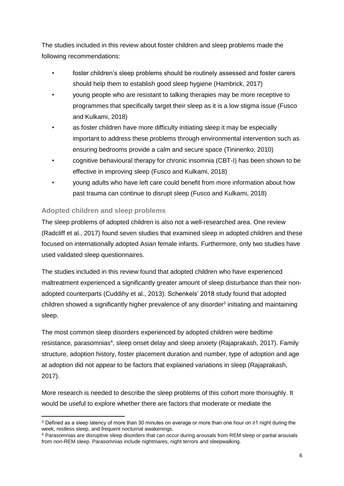The studies included in this review about foster children and sleep problems made the following recommendations:

- foster children's sleep problems should be routinely assessed and foster carers should help them to establish good sleep hygiene (Hambrick, 2017)
- young people who are resistant to talking therapies may be more receptive to programmes that specifically target their sleep as it is a low stigma issue (Fusco and Kulkami, 2018)
- as foster children have more difficulty initiating sleep it may be especially important to address these problems through environmental intervention such as ensuring bedrooms provide a calm and secure space (Tininenko, 2010)
- cognitive behavioural therapy for chronic insomnia (CBT-I) has been shown to be effective in improving sleep (Fusco and Kulkami, 2018)
- young adults who have left care could benefit from more information about how past trauma can continue to disrupt sleep (Fusco and Kulkami, 2018)

## **Adopted children and sleep problems**

-

The sleep problems of adopted children is also not a well-researched area. One review (Radcliff et al., 2017) found seven studies that examined sleep in adopted children and these focused on internationally adopted Asian female infants. Furthermore, only two studies have used validated sleep questionnaires.

The studies included in this review found that adopted children who have experienced maltreatment experienced a significantly greater amount of sleep disturbance than their nonadopted counterparts (Cuddihy et al., 2013). Schenkels' 2018 study found that adopted children showed a significantly higher prevalence of any disorder<sup>3</sup> initiating and maintaining sleep.

The most common sleep disorders experienced by adopted children were bedtime resistance, parasomnias<sup>4</sup>, sleep onset delay and sleep anxiety (Rajaprakash, 2017). Family structure, adoption history, foster placement duration and number, type of adoption and age at adoption did not appear to be factors that explained variations in sleep (Rajaprakash, 2017).

More research is needed to describe the sleep problems of this cohort more thoroughly. It would be useful to explore whether there are factors that moderate or mediate the

<sup>3</sup> Defined as a sleep latency of more than 30 minutes on average or more than one hour on ≥1 night during the week, restless sleep, and frequent nocturnal awakenings.

<sup>4</sup> Parasomnias are disruptive sleep disorders that can occur during arousals from REM sleep or partial arousals from non-REM sleep. Parasomnias include nightmares, night terrors and sleepwalking.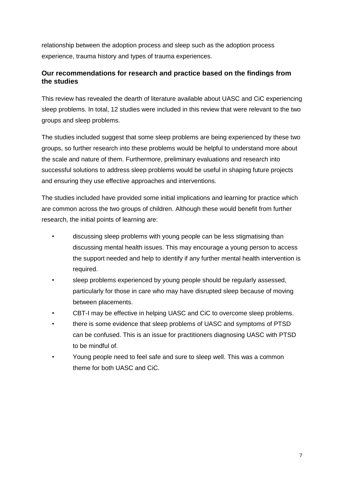relationship between the adoption process and sleep such as the adoption process experience, trauma history and types of trauma experiences.

## <span id="page-6-0"></span>**Our recommendations for research and practice based on the findings from the studies**

This review has revealed the dearth of literature available about UASC and CiC experiencing sleep problems. In total, 12 studies were included in this review that were relevant to the two groups and sleep problems.

The studies included suggest that some sleep problems are being experienced by these two groups, so further research into these problems would be helpful to understand more about the scale and nature of them. Furthermore, preliminary evaluations and research into successful solutions to address sleep problems would be useful in shaping future projects and ensuring they use effective approaches and interventions.

The studies included have provided some initial implications and learning for practice which are common across the two groups of children. Although these would benefit from further research, the initial points of learning are:

- discussing sleep problems with young people can be less stigmatising than discussing mental health issues. This may encourage a young person to access the support needed and help to identify if any further mental health intervention is required.
- sleep problems experienced by young people should be regularly assessed, particularly for those in care who may have disrupted sleep because of moving between placements.
- CBT-I may be effective in helping UASC and CiC to overcome sleep problems.
- there is some evidence that sleep problems of UASC and symptoms of PTSD can be confused. This is an issue for practitioners diagnosing UASC with PTSD to be mindful of.
- Young people need to feel safe and sure to sleep well. This was a common theme for both UASC and CiC.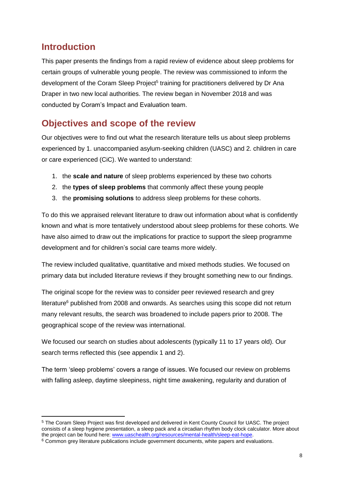# <span id="page-7-0"></span>**Introduction**

-

This paper presents the findings from a rapid review of evidence about sleep problems for certain groups of vulnerable young people. The review was commissioned to inform the development of the Coram Sleep Project<sup>5</sup> training for practitioners delivered by Dr Ana Draper in two new local authorities. The review began in November 2018 and was conducted by Coram's Impact and Evaluation team.

# <span id="page-7-1"></span>**Objectives and scope of the review**

Our objectives were to find out what the research literature tells us about sleep problems experienced by 1. unaccompanied asylum-seeking children (UASC) and 2. children in care or care experienced (CiC). We wanted to understand:

- 1. the **scale and nature** of sleep problems experienced by these two cohorts
- 2. the **types of sleep problems** that commonly affect these young people
- 3. the **promising solutions** to address sleep problems for these cohorts.

To do this we appraised relevant literature to draw out information about what is confidently known and what is more tentatively understood about sleep problems for these cohorts. We have also aimed to draw out the implications for practice to support the sleep programme development and for children's social care teams more widely.

The review included qualitative, quantitative and mixed methods studies. We focused on primary data but included literature reviews if they brought something new to our findings.

The original scope for the review was to consider peer reviewed research and grey  $l$ literature $<sup>6</sup>$  published from 2008 and onwards. As searches using this scope did not return</sup> many relevant results, the search was broadened to include papers prior to 2008. The geographical scope of the review was international.

We focused our search on studies about adolescents (typically 11 to 17 years old). Our search terms reflected this (see appendix 1 and 2).

The term 'sleep problems' covers a range of issues. We focused our review on problems with falling asleep, daytime sleepiness, night time awakening, regularity and duration of

<sup>5</sup> The Coram Sleep Project was first developed and delivered in Kent County Council for UASC. The project consists of a sleep hygiene presentation, a sleep pack and a circadian rhythm body clock calculator. More about the project can be found here: [www.uaschealth.org/resources/mental-health/sleep-eat-hope.](http://www.uaschealth.org/resources/mental-health/sleep-eat-hope)

<sup>6</sup> Common grey literature publications include government documents, white papers and evaluations.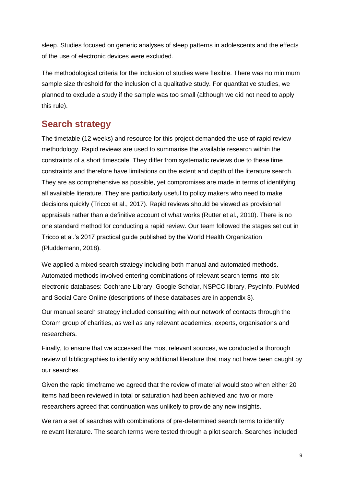sleep. Studies focused on generic analyses of sleep patterns in adolescents and the effects of the use of electronic devices were excluded.

The methodological criteria for the inclusion of studies were flexible. There was no minimum sample size threshold for the inclusion of a qualitative study. For quantitative studies, we planned to exclude a study if the sample was too small (although we did not need to apply this rule).

# <span id="page-8-0"></span>**Search strategy**

The timetable (12 weeks) and resource for this project demanded the use of rapid review methodology. Rapid reviews are used to summarise the available research within the constraints of a short timescale. They differ from systematic reviews due to these time constraints and therefore have limitations on the extent and depth of the literature search. They are as comprehensive as possible, yet compromises are made in terms of identifying all available literature. They are particularly useful to policy makers who need to make decisions quickly (Tricco et al., 2017). Rapid reviews should be viewed as provisional appraisals rather than a definitive account of what works (Rutter et al., 2010). There is no one standard method for conducting a rapid review. Our team followed the stages set out in Tricco et al.'s 2017 practical guide published by the World Health Organization (Pluddemann, 2018).

We applied a mixed search strategy including both manual and automated methods. Automated methods involved entering combinations of relevant search terms into six electronic databases: Cochrane Library, Google Scholar, NSPCC library, PsycInfo, PubMed and Social Care Online (descriptions of these databases are in appendix 3).

Our manual search strategy included consulting with our network of contacts through the Coram group of charities, as well as any relevant academics, experts, organisations and researchers.

Finally, to ensure that we accessed the most relevant sources, we conducted a thorough review of bibliographies to identify any additional literature that may not have been caught by our searches.

Given the rapid timeframe we agreed that the review of material would stop when either 20 items had been reviewed in total or saturation had been achieved and two or more researchers agreed that continuation was unlikely to provide any new insights.

We ran a set of searches with combinations of pre-determined search terms to identify relevant literature. The search terms were tested through a pilot search. Searches included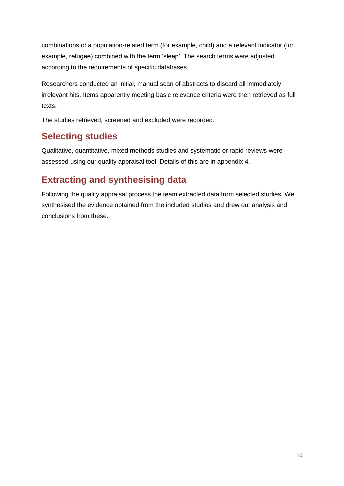combinations of a population-related term (for example, child) and a relevant indicator (for example, refugee) combined with the term 'sleep'. The search terms were adjusted according to the requirements of specific databases.

Researchers conducted an initial, manual scan of abstracts to discard all immediately irrelevant hits. Items apparently meeting basic relevance criteria were then retrieved as full texts.

The studies retrieved, screened and excluded were recorded.

# <span id="page-9-0"></span>**Selecting studies**

Qualitative, quantitative, mixed methods studies and systematic or rapid reviews were assessed using our quality appraisal tool. Details of this are in appendix 4.

# <span id="page-9-1"></span>**Extracting and synthesising data**

Following the quality appraisal process the team extracted data from selected studies. We synthesised the evidence obtained from the included studies and drew out analysis and conclusions from these.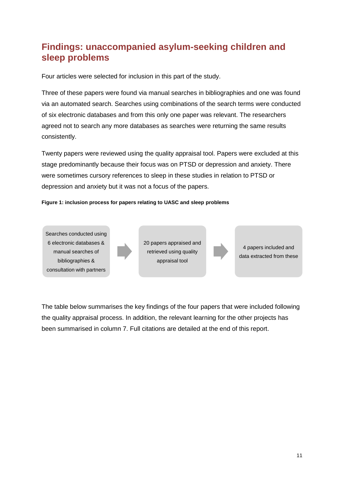# <span id="page-10-0"></span>**Findings: unaccompanied asylum-seeking children and sleep problems**

Four articles were selected for inclusion in this part of the study.

Three of these papers were found via manual searches in bibliographies and one was found via an automated search. Searches using combinations of the search terms were conducted of six electronic databases and from this only one paper was relevant. The researchers agreed not to search any more databases as searches were returning the same results consistently.

Twenty papers were reviewed using the quality appraisal tool. Papers were excluded at this stage predominantly because their focus was on PTSD or depression and anxiety. There were sometimes cursory references to sleep in these studies in relation to PTSD or depression and anxiety but it was not a focus of the papers.

<span id="page-10-1"></span>**Figure 1: inclusion process for papers relating to UASC and sleep problems**

Searches conducted using 6 electronic databases & manual searches of bibliographies & consultation with partners

20 papers appraised and retrieved using quality appraisal tool



4 papers included and data extracted from these

The table below summarises the key findings of the four papers that were included following the quality appraisal process. In addition, the relevant learning for the other projects has been summarised in column 7. Full citations are detailed at the end of this report.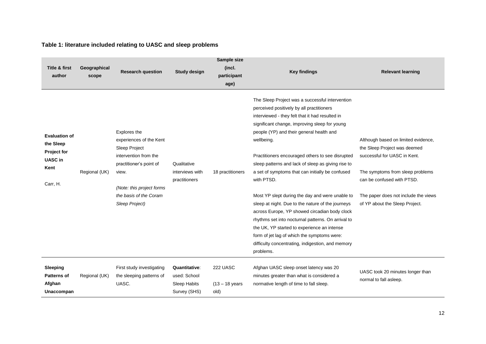## **Table 1: literature included relating to UASC and sleep problems**

<span id="page-11-0"></span>

| <b>Title &amp; first</b><br>author                                                            | Geographical<br>scope | <b>Research question</b>                                                                                                                                                                       | Study design                                                  | Sample size<br>(incl.<br>participant<br>age) | <b>Key findings</b>                                                                                                                                                                                                                                                                                                                                                                                                                                                                                                                                                                                                                                                                                                                                                                                                   | <b>Relevant learning</b>                                                                                                                                                                                                                        |
|-----------------------------------------------------------------------------------------------|-----------------------|------------------------------------------------------------------------------------------------------------------------------------------------------------------------------------------------|---------------------------------------------------------------|----------------------------------------------|-----------------------------------------------------------------------------------------------------------------------------------------------------------------------------------------------------------------------------------------------------------------------------------------------------------------------------------------------------------------------------------------------------------------------------------------------------------------------------------------------------------------------------------------------------------------------------------------------------------------------------------------------------------------------------------------------------------------------------------------------------------------------------------------------------------------------|-------------------------------------------------------------------------------------------------------------------------------------------------------------------------------------------------------------------------------------------------|
| <b>Evaluation of</b><br>the Sleep<br><b>Project for</b><br><b>UASC in</b><br>Kent<br>Carr, H. | Regional (UK)         | Explores the<br>experiences of the Kent<br>Sleep Project<br>intervention from the<br>practitioner's point of<br>view.<br>(Note: this project forms<br>the basis of the Coram<br>Sleep Project) | Qualitative<br>interviews with<br>practitioners               | 18 practitioners                             | The Sleep Project was a successful intervention<br>perceived positively by all practitioners<br>interviewed - they felt that it had resulted in<br>significant change, improving sleep for young<br>people (YP) and their general health and<br>wellbeing.<br>Practitioners encouraged others to see disrupted<br>sleep patterns and lack of sleep as giving rise to<br>a set of symptoms that can initially be confused<br>with PTSD.<br>Most YP slept during the day and were unable to<br>sleep at night. Due to the nature of the journeys<br>across Europe, YP showed circadian body clock<br>rhythms set into nocturnal patterns. On arrival to<br>the UK, YP started to experience an intense<br>form of jet lag of which the symptoms were:<br>difficulty concentrating, indigestion, and memory<br>problems. | Although based on limited evidence,<br>the Sleep Project was deemed<br>successful for UASC in Kent.<br>The symptoms from sleep problems<br>can be confused with PTSD.<br>The paper does not include the views<br>of YP about the Sleep Project. |
| Sleeping<br><b>Patterns of</b><br>Afghan<br>Unaccompan                                        | Regional (UK)         | First study investigating<br>the sleeping patterns of<br>UASC.                                                                                                                                 | Quantitative:<br>used: School<br>Sleep Habits<br>Survey (SHS) | 222 UASC<br>$(13 - 18$ years<br>old)         | Afghan UASC sleep onset latency was 20<br>minutes greater than what is considered a<br>normative length of time to fall sleep.                                                                                                                                                                                                                                                                                                                                                                                                                                                                                                                                                                                                                                                                                        | UASC took 20 minutes longer than<br>normal to fall asleep.                                                                                                                                                                                      |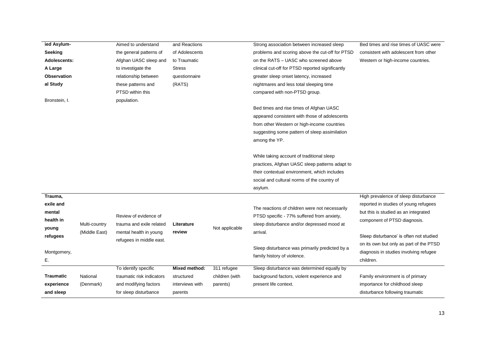| ied Asylum-         |               | Aimed to understand       | and Reactions   |                | Strong association between increased sleep       | Bed times and rise times of UASC were   |
|---------------------|---------------|---------------------------|-----------------|----------------|--------------------------------------------------|-----------------------------------------|
| Seeking             |               | the general patterns of   | of Adolescents  |                | problems and scoring above the cut-off for PTSD  | consistent with adolescent from other   |
| <b>Adolescents:</b> |               | Afghan UASC sleep and     | to Traumatic    |                | on the RATS - UASC who screened above            | Western or high-income countries.       |
| A Large             |               | to investigate the        | <b>Stress</b>   |                | clinical cut-off for PTSD reported significantly |                                         |
| <b>Observation</b>  |               | relationship between      | questionnaire   |                | greater sleep onset latency, increased           |                                         |
| al Study            |               | these patterns and        | (RATS)          |                | nightmares and less total sleeping time          |                                         |
|                     |               | PTSD within this          |                 |                | compared with non-PTSD group.                    |                                         |
| Bronstein, I.       |               | population.               |                 |                |                                                  |                                         |
|                     |               |                           |                 |                | Bed times and rise times of Afghan UASC          |                                         |
|                     |               |                           |                 |                | appeared consistent with those of adolescents    |                                         |
|                     |               |                           |                 |                | from other Western or high-income countries      |                                         |
|                     |               |                           |                 |                | suggesting some pattern of sleep assimilation    |                                         |
|                     |               |                           |                 |                | among the YP.                                    |                                         |
|                     |               |                           |                 |                |                                                  |                                         |
|                     |               |                           |                 |                | While taking account of traditional sleep        |                                         |
|                     |               |                           |                 |                | practices, Afghan UASC sleep patterns adapt to   |                                         |
|                     |               |                           |                 |                | their contextual environment, which includes     |                                         |
|                     |               |                           |                 |                | social and cultural norms of the country of      |                                         |
|                     |               |                           |                 |                | asylum.                                          |                                         |
| Trauma,             |               |                           |                 |                |                                                  | High prevalence of sleep disturbance    |
| exile and           |               |                           |                 |                |                                                  | reported in studies of young refugees   |
| mental              |               |                           |                 |                | The reactions of children were not necessarily   | but this is studied as an integrated    |
| health in           |               | Review of evidence of     | Literature      |                | PTSD specific - 77% suffered from anxiety,       | component of PTSD diagnosis.            |
| young               | Multi-country | trauma and exile related  |                 | Not applicable | sleep disturbance and/or depressed mood at       |                                         |
| refugees            | (Middle East) | mental health in young    | review          |                | arrival.                                         | Sleep disturbance' is often not studied |
|                     |               | refugees in middle east.  |                 |                |                                                  | on its own but only as part of the PTSD |
| Montgomery,         |               |                           |                 |                | Sleep disturbance was primarily predicted by a   | diagnosis in studies involving refugee  |
| Е.                  |               |                           |                 |                | family history of violence.                      | children.                               |
|                     |               | To identify specific      | Mixed method:   | 311 refugee    | Sleep disturbance was determined equally by      |                                         |
| Traumatic           | National      | traumatic risk indicators | structured      | children (with | background factors, violent experience and       | Family environment is of primary        |
| experience          | (Denmark)     | and modifying factors     | interviews with | parents)       | present life context.                            | importance for childhood sleep          |
| and sleep           |               | for sleep disturbance     | parents         |                |                                                  | disturbance following traumatic         |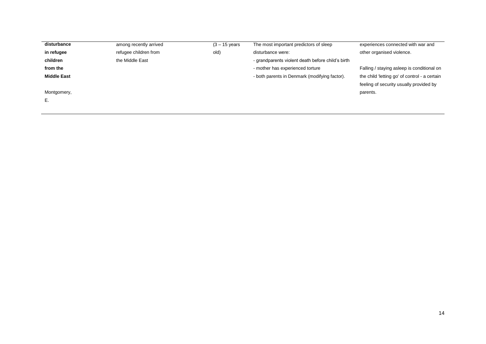| among recently arrived | $(3 - 15$ years | The most important predictors of sleep            | experiences connected with war and           |
|------------------------|-----------------|---------------------------------------------------|----------------------------------------------|
| refugee children from  | old)            | disturbance were:                                 | other organised violence.                    |
| the Middle East        |                 | - grandparents violent death before child's birth |                                              |
|                        |                 | - mother has experienced torture                  | Falling / staying asleep is conditional on   |
|                        |                 | - both parents in Denmark (modifying factor).     | the child letting go' of control - a certain |
|                        |                 |                                                   | feeling of security usually provided by      |
|                        |                 |                                                   | parents.                                     |
|                        |                 |                                                   |                                              |
|                        |                 |                                                   |                                              |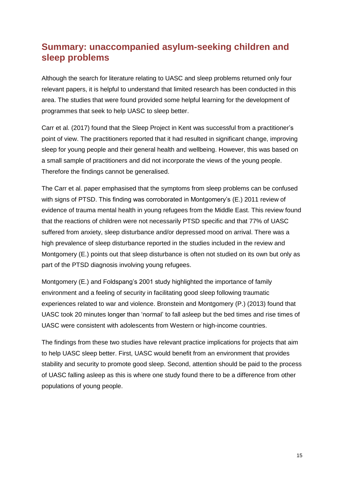# <span id="page-14-0"></span>**Summary: unaccompanied asylum-seeking children and sleep problems**

Although the search for literature relating to UASC and sleep problems returned only four relevant papers, it is helpful to understand that limited research has been conducted in this area. The studies that were found provided some helpful learning for the development of programmes that seek to help UASC to sleep better.

Carr et al. (2017) found that the Sleep Project in Kent was successful from a practitioner's point of view. The practitioners reported that it had resulted in significant change, improving sleep for young people and their general health and wellbeing. However, this was based on a small sample of practitioners and did not incorporate the views of the young people. Therefore the findings cannot be generalised.

The Carr et al. paper emphasised that the symptoms from sleep problems can be confused with signs of PTSD. This finding was corroborated in Montgomery's (E.) 2011 review of evidence of trauma mental health in young refugees from the Middle East. This review found that the reactions of children were not necessarily PTSD specific and that 77% of UASC suffered from anxiety, sleep disturbance and/or depressed mood on arrival. There was a high prevalence of sleep disturbance reported in the studies included in the review and Montgomery (E.) points out that sleep disturbance is often not studied on its own but only as part of the PTSD diagnosis involving young refugees.

Montgomery (E.) and Foldspang's 2001 study highlighted the importance of family environment and a feeling of security in facilitating good sleep following traumatic experiences related to war and violence. Bronstein and Montgomery (P.) (2013) found that UASC took 20 minutes longer than 'normal' to fall asleep but the bed times and rise times of UASC were consistent with adolescents from Western or high-income countries.

The findings from these two studies have relevant practice implications for projects that aim to help UASC sleep better. First, UASC would benefit from an environment that provides stability and security to promote good sleep. Second, attention should be paid to the process of UASC falling asleep as this is where one study found there to be a difference from other populations of young people.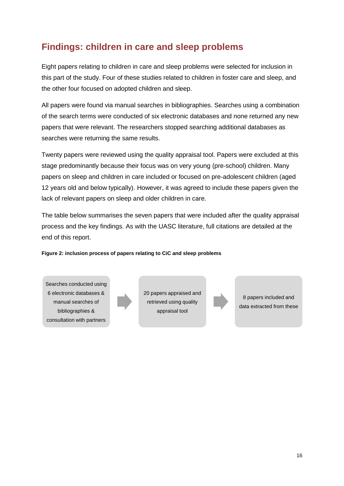# <span id="page-15-0"></span>**Findings: children in care and sleep problems**

Eight papers relating to children in care and sleep problems were selected for inclusion in this part of the study. Four of these studies related to children in foster care and sleep, and the other four focused on adopted children and sleep.

All papers were found via manual searches in bibliographies. Searches using a combination of the search terms were conducted of six electronic databases and none returned any new papers that were relevant. The researchers stopped searching additional databases as searches were returning the same results.

Twenty papers were reviewed using the quality appraisal tool. Papers were excluded at this stage predominantly because their focus was on very young (pre-school) children. Many papers on sleep and children in care included or focused on pre-adolescent children (aged 12 years old and below typically). However, it was agreed to include these papers given the lack of relevant papers on sleep and older children in care.

The table below summarises the seven papers that were included after the quality appraisal process and the key findings. As with the UASC literature, full citations are detailed at the end of this report.

#### <span id="page-15-1"></span>**Figure 2: inclusion process of papers relating to CiC and sleep problems**

Searches conducted using 6 electronic databases & manual searches of bibliographies & consultation with partners



20 papers appraised and retrieved using quality appraisal tool

8 papers included and data extracted from these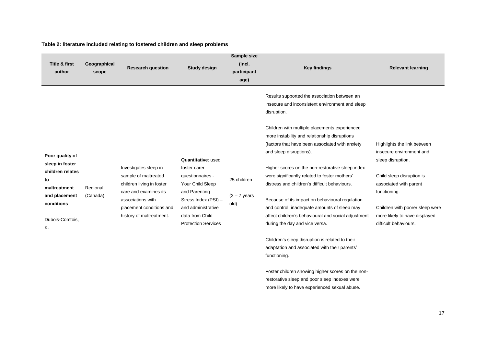<span id="page-16-0"></span>

| <b>Title &amp; first</b><br>author                                                                                                   | Geographical<br>scope | <b>Research question</b>                                                                                                                                                         | <b>Study design</b>                                                                                                                                                                        | Sample size<br>(incl.<br>participant<br>age) | <b>Key findings</b>                                                                                                                                                                                                                                                                                                                                                                                                                                                                                                                                                                                                                              | <b>Relevant learning</b>                                                                                                                                                                                                                         |
|--------------------------------------------------------------------------------------------------------------------------------------|-----------------------|----------------------------------------------------------------------------------------------------------------------------------------------------------------------------------|--------------------------------------------------------------------------------------------------------------------------------------------------------------------------------------------|----------------------------------------------|--------------------------------------------------------------------------------------------------------------------------------------------------------------------------------------------------------------------------------------------------------------------------------------------------------------------------------------------------------------------------------------------------------------------------------------------------------------------------------------------------------------------------------------------------------------------------------------------------------------------------------------------------|--------------------------------------------------------------------------------------------------------------------------------------------------------------------------------------------------------------------------------------------------|
| Poor quality of<br>sleep in foster<br>children relates<br>to<br>maltreatment<br>and placement<br>conditions<br>Dubois-Comtois,<br>Κ. | Regional<br>(Canada)  | Investigates sleep in<br>sample of maltreated<br>children living in foster<br>care and examines its<br>associations with<br>placement conditions and<br>history of maltreatment. | Quantitative: used<br>foster carer<br>questionnaires -<br>Your Child Sleep<br>and Parenting<br>Stress Index (PSI) -<br>and administrative<br>data from Child<br><b>Protection Services</b> | 25 children<br>$(3 - 7$ years<br>old)        | Results supported the association between an<br>insecure and inconsistent environment and sleep<br>disruption.<br>Children with multiple placements experienced<br>more instability and relationship disruptions<br>(factors that have been associated with anxiety<br>and sleep disruptions).<br>Higher scores on the non-restorative sleep index<br>were significantly related to foster mothers'<br>distress and children's difficult behaviours.<br>Because of its impact on behavioural regulation<br>and control, inadequate amounts of sleep may<br>affect children's behavioural and social adjustment<br>during the day and vice versa. | Highlights the link between<br>insecure environment and<br>sleep disruption.<br>Child sleep disruption is<br>associated with parent<br>functioning.<br>Children with poorer sleep were<br>more likely to have displayed<br>difficult behaviours. |
|                                                                                                                                      |                       |                                                                                                                                                                                  |                                                                                                                                                                                            |                                              | Children's sleep disruption is related to their<br>adaptation and associated with their parents'<br>functioning.<br>Foster children showing higher scores on the non-<br>restorative sleep and poor sleep indexes were<br>more likely to have experienced sexual abuse.                                                                                                                                                                                                                                                                                                                                                                          |                                                                                                                                                                                                                                                  |

#### **Table 2: literature included relating to fostered children and sleep problems**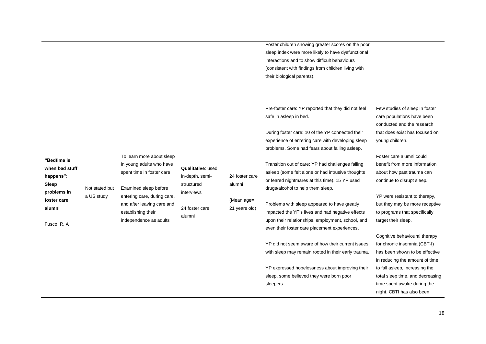Foster children showing greater scores on the poor sleep index were more likely to have dysfunctional interactions and to show difficult behaviours (consistent with findings from children living with their biological parents).

Pre-foster care: YP reported that they did not feel safe in asleep in bed.

During foster care: 10 of the YP connected their experience of entering care with developing sleep problems. Some had fears about falling asleep.

Few studies of sleep in foster care populations have been conducted and the research that does exist has focused on young children.

Foster care alumni could more information ast trauma can disrupt sleep.

istant to therapy, be more receptive that specifically sleep.

havioural therapy hsomnia (CBT-I) own to be effective he amount of time  $b$ , increasing the me, and decreasing wake during the night. CBTI has also been

|                               |                    | To learn more about sleep   |                              |                                       |                                                                                                  | Foster care a                  |
|-------------------------------|--------------------|-----------------------------|------------------------------|---------------------------------------|--------------------------------------------------------------------------------------------------|--------------------------------|
| "Bedtime is<br>when bad stuff |                    | in young adults who have    | <b>Qualitative: used</b>     |                                       | Transition out of care: YP had challenges falling                                                | benefit from                   |
| happens":                     |                    | spent time in foster care   | in-depth, semi-              | 24 foster care                        | asleep (some felt alone or had intrusive thoughts                                                | about how pa                   |
| Sleep                         | Not stated but     | Examined sleep before       | structured                   | alumni<br>(Mean age=<br>21 years old) | or feared nightmares at this time). 15 YP used<br>drugs/alcohol to help them sleep.              | continue to d                  |
| problems in                   | a US study         | entering care, during care, | interviews<br>24 foster care |                                       |                                                                                                  | YP were resi                   |
| foster care<br>alumni         |                    | and after leaving care and  |                              |                                       | Problems with sleep appeared to have greatly<br>impacted the YP's lives and had negative effects | but they may                   |
| Fusco, R. A                   | establishing their | independence as adults      | alumni                       |                                       | upon their relationships, employment, school, and                                                | to programs<br>target their s  |
|                               |                    |                             |                              |                                       | even their foster care placement experiences.                                                    | Cognitive be                   |
|                               |                    |                             |                              |                                       | YP did not seem aware of how their current issues                                                | for chronic in                 |
|                               |                    |                             |                              |                                       | with sleep may remain rooted in their early trauma.                                              | has been sho<br>in reducing tl |
|                               |                    |                             |                              |                                       | YP expressed hopelessness about improving their                                                  | to fall asleep                 |
|                               |                    |                             |                              |                                       | sleep, some believed they were born poor                                                         | total sleep tir                |
|                               |                    |                             |                              |                                       | sleepers.                                                                                        | time spent av                  |
|                               |                    |                             |                              |                                       |                                                                                                  | $min+$ $CDTI+$                 |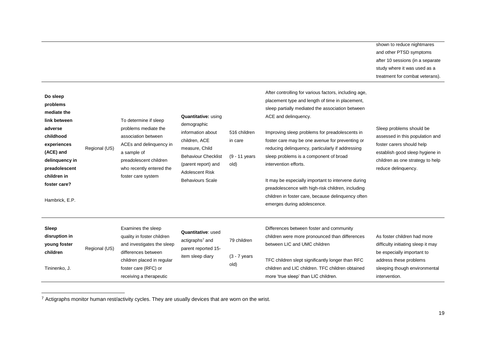| Do sleep<br>problems<br>mediate the<br>link between<br>adverse<br>childhood<br>experiences<br>(ACE) and<br>delinquency in<br>preadolescent<br>children in<br>foster care?<br>Hambrick, E.P. | Regional (US) | To determine if sleep<br>problems mediate the<br>association between<br>ACEs and delinquency in<br>a sample of<br>preadolescent children<br>who recently entered the<br>foster care system | <b>Quantitative: using</b><br>demographic<br>information about<br>children, ACE<br>measure, Child<br><b>Behaviour Checklist</b><br>(parent report) and<br><b>Adolescent Risk</b><br><b>Behaviours Scale</b> | 516 children<br>in care<br>(9 - 11 years<br>old) | After controlling for various factors, including age,<br>placement type and length of time in placement,<br>sleep partially mediated the association between<br>ACE and delinquency.<br>Improving sleep problems for preadolescents in<br>foster care may be one avenue for preventing or<br>reducing delinquency, particularly if addressing<br>sleep problems is a component of broad<br>intervention efforts.<br>It may be especially important to intervene during<br>preadolescence with high-risk children, including<br>children in foster care, because delinquency often<br>emerges during adolescence. | shown to reduce nightmares<br>and other PTSD symptoms<br>after 10 sessions (in a separate<br>study where it was used as a<br>treatment for combat veterans).<br>Sleep problems should be<br>assessed in this population and<br>foster carers should help<br>establish good sleep hygiene in<br>children as one strategy to help<br>reduce delinquency. |
|---------------------------------------------------------------------------------------------------------------------------------------------------------------------------------------------|---------------|--------------------------------------------------------------------------------------------------------------------------------------------------------------------------------------------|-------------------------------------------------------------------------------------------------------------------------------------------------------------------------------------------------------------|--------------------------------------------------|------------------------------------------------------------------------------------------------------------------------------------------------------------------------------------------------------------------------------------------------------------------------------------------------------------------------------------------------------------------------------------------------------------------------------------------------------------------------------------------------------------------------------------------------------------------------------------------------------------------|--------------------------------------------------------------------------------------------------------------------------------------------------------------------------------------------------------------------------------------------------------------------------------------------------------------------------------------------------------|
| Sleep<br>disruption in<br>young foster<br>children<br>Tininenko, J.                                                                                                                         | Regional (US) | Examines the sleep<br>quality in foster children<br>and investigates the sleep<br>differences between<br>children placed in regular<br>foster care (RFC) or<br>receiving a therapeutic     | Quantitative: used<br>actigraphs <sup>7</sup> and<br>parent reported 15-<br>item sleep diary                                                                                                                | 79 children<br>$(3 - 7$ years<br>old)            | Differences between foster and community<br>children were more pronounced than differences<br>between LIC and UMC children<br>TFC children slept significantly longer than RFC<br>children and LIC children. TFC children obtained<br>more 'true sleep' than LIC children.                                                                                                                                                                                                                                                                                                                                       | As foster children had more<br>difficulty initiating sleep it may<br>be especially important to<br>address these problems<br>sleeping though environmental<br>intervention.                                                                                                                                                                            |

 $7$  Actigraphs monitor human rest/activity cycles. They are usually devices that are worn on the wrist.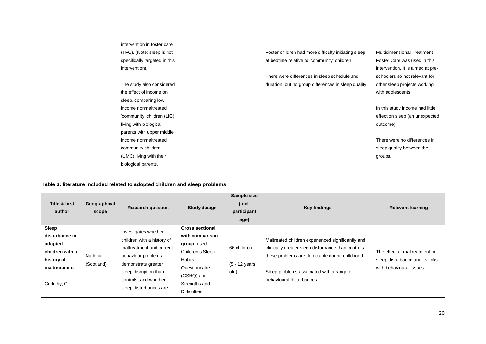| intervention in foster care   |                                                      |                                   |
|-------------------------------|------------------------------------------------------|-----------------------------------|
| (TFC). (Note: sleep is not    | Foster children had more difficulty initiating sleep | <b>Multidimensional Treatment</b> |
| specifically targeted in this | at bedtime relative to 'community' children.         | Foster Care was used in this      |
| intervention).                |                                                      | intervention. It is aimed at pre- |
|                               | There were differences in sleep schedule and         | schoolers so not relevant for     |
| The study also considered     | duration, but no group differences in sleep quality. | other sleep projects working      |
| the effect of income on       |                                                      | with adolescents.                 |
| sleep, comparing low          |                                                      |                                   |
| income nonmaltreated          |                                                      | In this study income had little   |
| 'community' children (LIC)    |                                                      | effect on sleep (an unexpected    |
| living with biological        |                                                      | outcome).                         |
| parents with upper middle     |                                                      |                                   |
| income nonmaltreated          |                                                      | There were no differences in      |
| community children            |                                                      | sleep quality between the         |
| (UMC) living with their       |                                                      | groups.                           |
| biological parents.           |                                                      |                                   |

#### **Table 3: literature included related to adopted children and sleep problems**

<span id="page-19-0"></span>

| <b>Title &amp; first</b><br>author                                                                 | Geographical<br>scope  | <b>Research question</b>                                                                                                                                                                                | <b>Study design</b>                                                                                                                    | Sample size<br>(incl.<br>participant<br>age) | <b>Key findings</b>                                                                                                                                                                                                                    | <b>Relevant learning</b>                                                                     |
|----------------------------------------------------------------------------------------------------|------------------------|---------------------------------------------------------------------------------------------------------------------------------------------------------------------------------------------------------|----------------------------------------------------------------------------------------------------------------------------------------|----------------------------------------------|----------------------------------------------------------------------------------------------------------------------------------------------------------------------------------------------------------------------------------------|----------------------------------------------------------------------------------------------|
| Sleep<br>disturbance in<br>adopted<br>children with a<br>history of<br>maltreatment<br>Cuddihy, C. | National<br>(Scotland) | Investigates whether<br>children with a history of<br>maltreatment and current<br>behaviour problems<br>demonstrate greater<br>sleep disruption than<br>controls, and whether<br>sleep disturbances are | <b>Cross sectional</b><br>with comparison<br>group: used<br>Children's Sleep<br>Habits<br>Questionnaire<br>(CSHQ) and<br>Strengths and | 66 children<br>(5 - 12 years<br>old)         | Maltreated children experienced significantly and<br>clinically greater sleep disturbance than controls -<br>these problems are detectable during childhood.<br>Sleep problems associated with a range of<br>behavioural disturbances. | The effect of maltreatment on<br>sleep disturbance and its links<br>with behavioural issues. |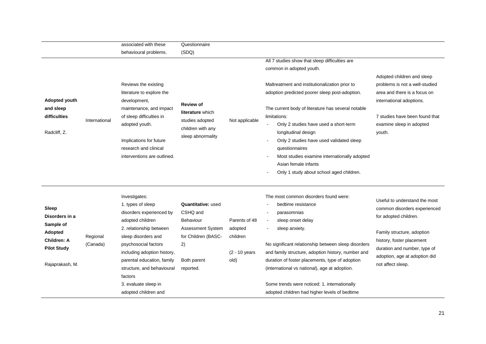|                                                                                                                       |                      | associated with these                                                                                                                                                                                                                                                                                              | Questionnaire                                                                                                                           |                                                                 |                                                                                                                                                                                                                                                                                                                                                                                                                                     |                                                                                                                                                                                                                                         |
|-----------------------------------------------------------------------------------------------------------------------|----------------------|--------------------------------------------------------------------------------------------------------------------------------------------------------------------------------------------------------------------------------------------------------------------------------------------------------------------|-----------------------------------------------------------------------------------------------------------------------------------------|-----------------------------------------------------------------|-------------------------------------------------------------------------------------------------------------------------------------------------------------------------------------------------------------------------------------------------------------------------------------------------------------------------------------------------------------------------------------------------------------------------------------|-----------------------------------------------------------------------------------------------------------------------------------------------------------------------------------------------------------------------------------------|
|                                                                                                                       |                      | behavioural problems.                                                                                                                                                                                                                                                                                              | (SDQ)                                                                                                                                   |                                                                 |                                                                                                                                                                                                                                                                                                                                                                                                                                     |                                                                                                                                                                                                                                         |
|                                                                                                                       |                      |                                                                                                                                                                                                                                                                                                                    |                                                                                                                                         |                                                                 | All 7 studies show that sleep difficulties are                                                                                                                                                                                                                                                                                                                                                                                      |                                                                                                                                                                                                                                         |
|                                                                                                                       |                      |                                                                                                                                                                                                                                                                                                                    |                                                                                                                                         |                                                                 | common in adopted youth.                                                                                                                                                                                                                                                                                                                                                                                                            |                                                                                                                                                                                                                                         |
| Adopted youth<br>and sleep<br>difficulties<br>Radcliff, Z.                                                            | International        | Reviews the existing<br>literature to explore the<br>development,<br>maintenance, and impact<br>of sleep difficulties in<br>adopted youth.<br>Implications for future<br>research and clinical<br>interventions are outlined.                                                                                      | <b>Review of</b><br>literature which<br>studies adopted<br>children with any<br>sleep abnormality                                       | Not applicable                                                  | Maltreatment and institutionalization prior to<br>adoption predicted poorer sleep post-adoption.<br>The current body of literature has several notable<br>limitations:<br>Only 2 studies have used a short-term<br>longitudinal design<br>Only 2 studies have used validated sleep<br>questionnaires<br>Most studies examine internationally adopted<br>Asian female infants<br>Only 1 study about school aged children.            | Adopted children and sleep<br>problems is not a well-studied<br>area and there is a focus on<br>international adoptions.<br>7 studies have been found that<br>examine sleep in adopted<br>youth.                                        |
| <b>Sleep</b><br>Disorders in a<br>Sample of<br>Adopted<br><b>Children: A</b><br><b>Pilot Study</b><br>Rajaprakash, M. | Regional<br>(Canada) | Investigates:<br>1. types of sleep<br>disorders experienced by<br>adopted children<br>2. relationship between<br>sleep disorders and<br>psychosocial factors<br>including adoption history,<br>parental education, family<br>structure, and behavioural<br>factors<br>3. evaluate sleep in<br>adopted children and | Quantitative: used<br>CSHQ and<br><b>Behaviour</b><br><b>Assessment System</b><br>for Children (BASC-<br>2)<br>Both parent<br>reported. | Parents of 48<br>adopted<br>children<br>$(2 - 10$ years<br>old) | The most common disorders found were:<br>bedtime resistance<br>parasomnias<br>sleep onset delay<br>sleep anxiety.<br>No significant relationship between sleep disorders<br>and family structure, adoption history, number and<br>duration of foster placements, type of adoption<br>(international vs national), age at adoption.<br>Some trends were noticed: 1. internationally<br>adopted children had higher levels of bedtime | Useful to understand the most<br>common disorders experienced<br>for adopted children.<br>Family structure, adoption<br>history, foster placement<br>duration and number, type of<br>adoption, age at adoption did<br>not affect sleep. |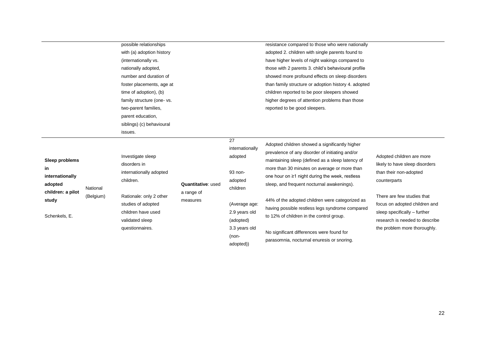| possible relationships    |
|---------------------------|
| with (a) adoption history |
| (internationally vs.      |
| nationally adopted,       |
| number and duration of    |
| foster placements, age at |
| time of adoption), (b)    |
| family structure (one-vs. |
| two-parent families,      |
| parent education,         |
| siblings) (c) behavioural |
| issues.                   |

| resistance compared to those who were nationally     |
|------------------------------------------------------|
| adopted 2. children with single parents found to     |
| have higher levels of night wakings compared to      |
| those with 2 parents 3. child's behavioural profile  |
| showed more profound effects on sleep disorders      |
| than family structure or adoption history 4. adopted |
| children reported to be poor sleepers showed         |
| higher degrees of attention problems than those      |
| reported to be good sleepers.                        |

|                            |           | Investigate sleep       |                    |
|----------------------------|-----------|-------------------------|--------------------|
| Sleep problems<br>in       |           | disorders in            |                    |
|                            |           | internationally adopted |                    |
| internationally<br>adopted | National  | children.               | Quantitative: used |
| children: a pilot          | (Belgium) | Rationale: only 2 other | a range of         |
| study                      |           | studies of adopted      | measures           |
| Schenkels, E.              |           | children have used      |                    |
|                            |           | validated sleep         |                    |
|                            |           | questionnaires.         |                    |

#### 27

internationally adopted

(Average age: 2.9 years old (adopted) 3.3 years old (nonadopted))

93 nonadopted children

Adopted children showed a significantly higher prevalence of any disorder of initiating and/or maintaining sleep (defined as a sleep latency of more than 30 minutes on average or more than one hour on ≥1 night during the week, restless sleep, and frequent nocturnal awakenings).

44% of the adopted children were categorized as having possible restless legs syndrome compared to 12% of children in the control group.

No significant differences were found for parasomnia, nocturnal enuresis or snoring. Adopted children are more likely to have sleep disorders than their non-adopted counterparts

There are few studies that focus on adopted children and sleep specifically – further research is needed to describe the problem more thoroughly.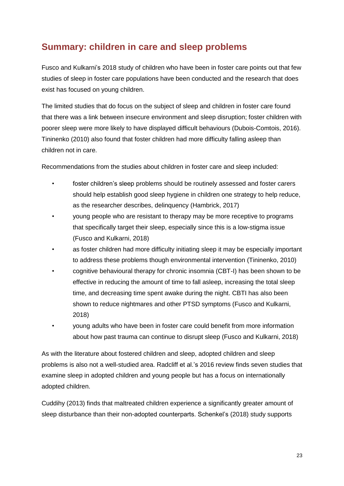# <span id="page-22-0"></span>**Summary: children in care and sleep problems**

Fusco and Kulkarni's 2018 study of children who have been in foster care points out that few studies of sleep in foster care populations have been conducted and the research that does exist has focused on young children.

The limited studies that do focus on the subject of sleep and children in foster care found that there was a link between insecure environment and sleep disruption; foster children with poorer sleep were more likely to have displayed difficult behaviours (Dubois-Comtois, 2016). Tininenko (2010) also found that foster children had more difficulty falling asleep than children not in care.

Recommendations from the studies about children in foster care and sleep included:

- foster children's sleep problems should be routinely assessed and foster carers should help establish good sleep hygiene in children one strategy to help reduce, as the researcher describes, delinquency (Hambrick, 2017)
- young people who are resistant to therapy may be more receptive to programs that specifically target their sleep, especially since this is a low-stigma issue (Fusco and Kulkarni, 2018)
- as foster children had more difficulty initiating sleep it may be especially important to address these problems though environmental intervention (Tininenko, 2010)
- cognitive behavioural therapy for chronic insomnia (CBT-I) has been shown to be effective in reducing the amount of time to fall asleep, increasing the total sleep time, and decreasing time spent awake during the night. CBTI has also been shown to reduce nightmares and other PTSD symptoms (Fusco and Kulkarni, 2018)
- young adults who have been in foster care could benefit from more information about how past trauma can continue to disrupt sleep (Fusco and Kulkarni, 2018)

As with the literature about fostered children and sleep, adopted children and sleep problems is also not a well-studied area. Radcliff et al.'s 2016 review finds seven studies that examine sleep in adopted children and young people but has a focus on internationally adopted children.

Cuddihy (2013) finds that maltreated children experience a significantly greater amount of sleep disturbance than their non-adopted counterparts. Schenkel's (2018) study supports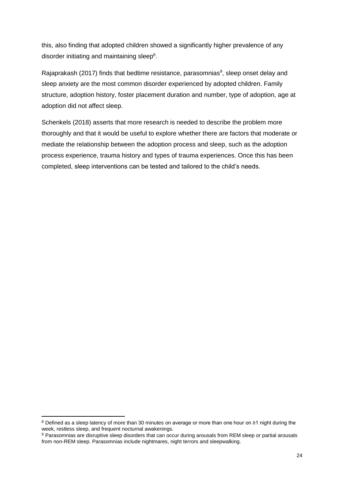this, also finding that adopted children showed a significantly higher prevalence of any disorder initiating and maintaining sleep<sup>8</sup>.

Rajaprakash (2017) finds that bedtime resistance, parasomnias<sup>9</sup>, sleep onset delay and sleep anxiety are the most common disorder experienced by adopted children. Family structure, adoption history, foster placement duration and number, type of adoption, age at adoption did not affect sleep.

Schenkels (2018) asserts that more research is needed to describe the problem more thoroughly and that it would be useful to explore whether there are factors that moderate or mediate the relationship between the adoption process and sleep, such as the adoption process experience, trauma history and types of trauma experiences. Once this has been completed, sleep interventions can be tested and tailored to the child's needs.

-

<sup>8</sup> Defined as a sleep latency of more than 30 minutes on average or more than one hour on ≥1 night during the week, restless sleep, and frequent nocturnal awakenings.

<sup>9</sup> Parasomnias are disruptive sleep disorders that can occur during arousals from REM sleep or partial arousals from non-REM sleep. Parasomnias include nightmares, night terrors and sleepwalking.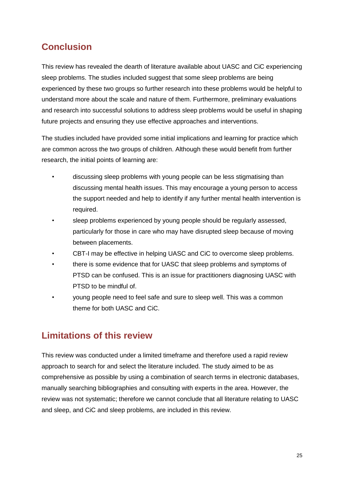# <span id="page-24-0"></span>**Conclusion**

This review has revealed the dearth of literature available about UASC and CiC experiencing sleep problems. The studies included suggest that some sleep problems are being experienced by these two groups so further research into these problems would be helpful to understand more about the scale and nature of them. Furthermore, preliminary evaluations and research into successful solutions to address sleep problems would be useful in shaping future projects and ensuring they use effective approaches and interventions.

The studies included have provided some initial implications and learning for practice which are common across the two groups of children. Although these would benefit from further research, the initial points of learning are:

- discussing sleep problems with young people can be less stigmatising than discussing mental health issues. This may encourage a young person to access the support needed and help to identify if any further mental health intervention is required.
- sleep problems experienced by young people should be regularly assessed, particularly for those in care who may have disrupted sleep because of moving between placements.
- CBT-I may be effective in helping UASC and CiC to overcome sleep problems.
- there is some evidence that for UASC that sleep problems and symptoms of PTSD can be confused. This is an issue for practitioners diagnosing UASC with PTSD to be mindful of.
- young people need to feel safe and sure to sleep well. This was a common theme for both UASC and CiC.

# <span id="page-24-1"></span>**Limitations of this review**

This review was conducted under a limited timeframe and therefore used a rapid review approach to search for and select the literature included. The study aimed to be as comprehensive as possible by using a combination of search terms in electronic databases, manually searching bibliographies and consulting with experts in the area. However, the review was not systematic; therefore we cannot conclude that all literature relating to UASC and sleep, and CiC and sleep problems, are included in this review.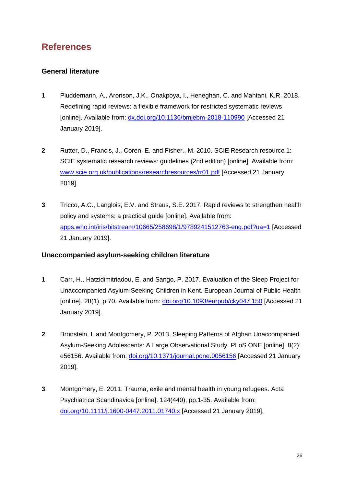# <span id="page-25-0"></span>**References**

## <span id="page-25-1"></span>**General literature**

- **1** Pluddemann, A., Aronson, J,K., Onakpoya, I., Heneghan, C. and Mahtani, K.R. 2018. Redefining rapid reviews: a flexible framework for restricted systematic reviews [online]. Available from: [dx.doi.org/10.1136/bmjebm-2018-110990](http://dx.doi.org/10.1136/bmjebm-2018-110990) [Accessed 21 January 2019].
- **2** Rutter, D., Francis, J., Coren, E. and Fisher., M. 2010. SCIE Research resource 1: SCIE systematic research reviews: guidelines (2nd edition) [online]. Available from: [www.scie.org.uk/publications/researchresources/rr01.pdf](http://www.scie.org.uk/publications/researchresources/rr01.pdf) [Accessed 21 January 2019].
- **3** Tricco, A.C., Langlois, E.V. and Straus, S.E. 2017. Rapid reviews to strengthen health policy and systems: a practical guide [online]. Available from: [apps.who.int/iris/bitstream/10665/258698/1/9789241512763-eng.pdf?ua=1](http://apps.who.int/iris/bitstream/10665/258698/1/9789241512763-eng.pdf?ua=1) [Accessed 21 January 2019].

## <span id="page-25-2"></span>**Unaccompanied asylum-seeking children literature**

- **1** Carr, H., Hatzidimitriadou, E. and Sango, P. 2017. Evaluation of the Sleep Project for Unaccompanied Asylum-Seeking Children in Kent. European Journal of Public Health [online]. 28(1), p.70. Available from: [doi.org/10.1093/eurpub/cky047.150](https://doi.org/10.1093/eurpub/cky047.150) [Accessed 21 January 2019].
- **2** Bronstein, I. and Montgomery, P. 2013. Sleeping Patterns of Afghan Unaccompanied Asylum-Seeking Adolescents: A Large Observational Study. PLoS ONE [online]. 8(2): e56156. Available from: [doi.org/10.1371/journal.pone.0056156](https://doi.org/10.1371/journal.pone.0056156) [Accessed 21 January 2019].
- **3** Montgomery, E. 2011. Trauma, exile and mental health in young refugees. Acta Psychiatrica Scandinavica [online]. 124(440), pp.1-35. Available from: doi.org/10.1111/j.1600-0447.2011.01740.x [Accessed 21 January 2019].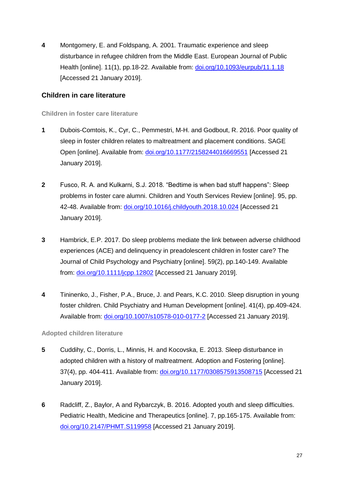**4** Montgomery, E. and Foldspang, A. 2001. Traumatic experience and sleep disturbance in refugee children from the Middle East. European Journal of Public Health [online]. 11(1), pp.18-22. Available from: doi.org/10.1093/eurpub/11.1.18 [Accessed 21 January 2019].

## <span id="page-26-0"></span>**Children in care literature**

**Children in foster care literature**

- **1** Dubois-Comtois, K., Cyr, C., Pemmestri, M-H. and Godbout, R. 2016. Poor quality of sleep in foster children relates to maltreatment and placement conditions. SAGE Open [online]. Available from: [doi.org/10.1177/2158244016669551](https://doi.org/10.1177%2F2158244016669551) [Accessed 21 January 2019].
- **2** Fusco, R. A. and Kulkarni, S.J. 2018. "Bedtime is when bad stuff happens": Sleep problems in foster care alumni. Children and Youth Services Review [online]. 95, pp. 42-48. Available from: [doi.org/10.1016/j.childyouth.2018.10.024](https://doi.org/10.1016/j.childyouth.2018.10.024) [Accessed 21 January 2019].
- **3** Hambrick, E.P. 2017. Do sleep problems mediate the link between adverse childhood experiences (ACE) and delinquency in preadolescent children in foster care? The Journal of Child Psychology and Psychiatry [online]. 59(2), pp.140-149. Available from: [doi.org/10.1111/jcpp.12802](https://doi.org/10.1111/jcpp.12802) [Accessed 21 January 2019].
- **4** Tininenko, J., Fisher, P.A., Bruce, J. and Pears, K.C. 2010. Sleep disruption in young foster children. Child Psychiatry and Human Development [online]. 41(4), pp.409-424. Available from: doi.org/10.1007/s10578-010-0177-2 [Accessed 21 January 2019].

## **Adopted children literature**

- **5** Cuddihy, C., Dorris, L., Minnis, H. and Kocovska, E. 2013. Sleep disturbance in adopted children with a history of maltreatment. Adoption and Fostering [online]. 37(4), pp. 404-411. Available from: [doi.org/10.1177/0308575913508715](https://doi.org/10.1177%2F0308575913508715) [Accessed 21 January 2019].
- **6** Radcliff, Z., Baylor, A and Rybarczyk, B. 2016. Adopted youth and sleep difficulties. Pediatric Health, Medicine and Therapeutics [online]. 7, pp.165-175. Available from: [doi.org/10.2147/PHMT.S119958](https://doi.org/10.2147/PHMT.S119958) [Accessed 21 January 2019].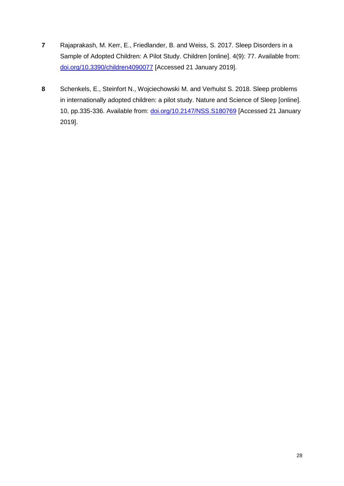- **7** Rajaprakash, M. Kerr, E., Friedlander, B. and Weiss, S. 2017. Sleep Disorders in a Sample of Adopted Children: A Pilot Study. Children [online]. 4(9): 77. Available from: [doi.org/10.3390/children4090077](https://doi.org/10.3390/children4090077) [Accessed 21 January 2019].
- **8** Schenkels, E., Steinfort N., Wojciechowski M. and Verhulst S. 2018. Sleep problems in internationally adopted children: a pilot study. Nature and Science of Sleep [online]. 10, pp.335-336. Available from: [doi.org/10.2147/NSS.S180769](https://doi.org/10.2147/NSS.S180769) [Accessed 21 January 2019].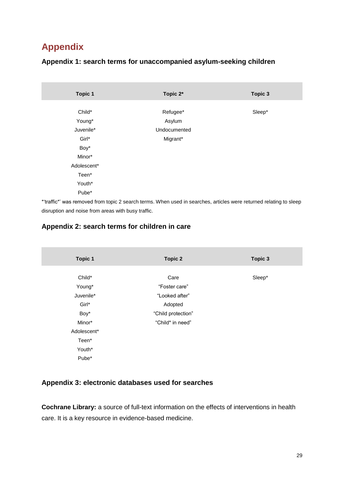# <span id="page-28-0"></span>**Appendix**

## <span id="page-28-1"></span>**Appendix 1: search terms for unaccompanied asylum-seeking children**

| <b>Topic 1</b> | Topic 2*     | Topic 3 |
|----------------|--------------|---------|
| Child*         | Refugee*     | Sleep*  |
| Young*         | Asylum       |         |
| Juvenile*      | Undocumented |         |
| Girl*          | Migrant*     |         |
| Boy*           |              |         |
| Minor*         |              |         |
| Adolescent*    |              |         |
| Teen*          |              |         |
| Youth*         |              |         |
| Pube*          |              |         |

\*'traffic\*' was removed from topic 2 search terms. When used in searches, articles were returned relating to sleep disruption and noise from areas with busy traffic.

## <span id="page-28-2"></span>**Appendix 2: search terms for children in care**

| <b>Topic 1</b> | <b>Topic 2</b>     | Topic 3 |
|----------------|--------------------|---------|
| Child*         | Care               | Sleep*  |
| Young*         | "Foster care"      |         |
| Juvenile*      | "Looked after"     |         |
| Girl*          | Adopted            |         |
| Boy*           | "Child protection" |         |
| Minor*         | "Child* in need"   |         |
| Adolescent*    |                    |         |
| Teen*          |                    |         |
| Youth*         |                    |         |
| Pube*          |                    |         |

## <span id="page-28-3"></span>**Appendix 3: electronic databases used for searches**

**Cochrane Library:** a source of full-text information on the effects of interventions in health care. It is a key resource in evidence-based medicine.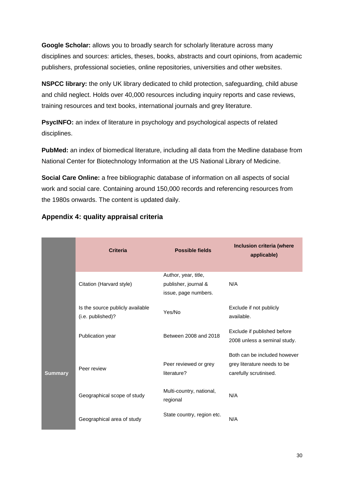**Google Scholar:** allows you to broadly search for scholarly literature across many disciplines and sources: articles, theses, books, abstracts and court opinions, from academic publishers, professional societies, online repositories, universities and other websites.

**NSPCC library:** the only UK library dedicated to child protection, safeguarding, child abuse and child neglect. Holds over 40,000 resources including inquiry reports and case reviews, training resources and text books, international journals and grey literature.

**PsycINFO:** an index of literature in psychology and psychological aspects of related disciplines.

**PubMed:** an index of biomedical literature, including all data from the Medline database from National Center for Biotechnology Information at the US National Library of Medicine.

**Social Care Online:** a free bibliographic database of information on all aspects of social work and social care. Containing around 150,000 records and referencing resources from the 1980s onwards. The content is updated daily.

|                | <b>Criteria</b>                                       | <b>Possible fields</b>                                               | Inclusion criteria (where<br>applicable)                                              |
|----------------|-------------------------------------------------------|----------------------------------------------------------------------|---------------------------------------------------------------------------------------|
|                | Citation (Harvard style)                              | Author, year, title,<br>publisher, journal &<br>issue, page numbers. | N/A                                                                                   |
|                | Is the source publicly available<br>(i.e. published)? | Yes/No                                                               | Exclude if not publicly<br>available.                                                 |
|                | Publication year                                      | Between 2008 and 2018                                                | Exclude if published before<br>2008 unless a seminal study.                           |
| <b>Summary</b> | Peer review                                           | Peer reviewed or grey<br>literature?                                 | Both can be included however<br>grey literature needs to be<br>carefully scrutinised. |
|                | Geographical scope of study                           | Multi-country, national,<br>regional                                 | N/A                                                                                   |
|                | Geographical area of study                            | State country, region etc.                                           | N/A                                                                                   |

## <span id="page-29-0"></span>**Appendix 4: quality appraisal criteria**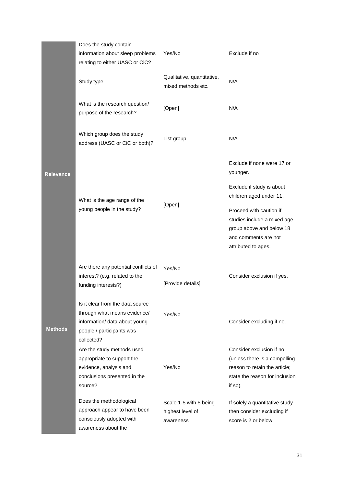|                | Does the study contain<br>information about sleep problems<br>relating to either UASC or CiC?                                                | Yes/No                                                  | Exclude if no                                                                                                                           |
|----------------|----------------------------------------------------------------------------------------------------------------------------------------------|---------------------------------------------------------|-----------------------------------------------------------------------------------------------------------------------------------------|
|                | Study type                                                                                                                                   | Qualitative, quantitative,<br>mixed methods etc.        | N/A                                                                                                                                     |
|                | What is the research question/<br>purpose of the research?                                                                                   | [Open]                                                  | N/A                                                                                                                                     |
|                | Which group does the study<br>address (UASC or CiC or both)?                                                                                 | List group                                              | N/A                                                                                                                                     |
| Relevance      |                                                                                                                                              |                                                         | Exclude if none were 17 or<br>younger.                                                                                                  |
|                | What is the age range of the<br>young people in the study?                                                                                   | [Open]                                                  | Exclude if study is about<br>children aged under 11.                                                                                    |
|                |                                                                                                                                              |                                                         | Proceed with caution if<br>studies include a mixed age<br>group above and below 18<br>and comments are not<br>attributed to ages.       |
|                | Are there any potential conflicts of<br>interest? (e.g. related to the<br>funding interests?)                                                | Yes/No<br>[Provide details]                             | Consider exclusion if yes.                                                                                                              |
| <b>Methods</b> | Is it clear from the data source<br>through what means evidence/<br>information/ data about young<br>people / participants was<br>collected? | Yes/No                                                  | Consider excluding if no.                                                                                                               |
|                | Are the study methods used<br>appropriate to support the<br>evidence, analysis and<br>conclusions presented in the<br>source?                | Yes/No                                                  | Consider exclusion if no<br>(unless there is a compelling<br>reason to retain the article;<br>state the reason for inclusion<br>if so). |
|                | Does the methodological<br>approach appear to have been<br>consciously adopted with<br>awareness about the                                   | Scale 1-5 with 5 being<br>highest level of<br>awareness | If solely a quantitative study<br>then consider excluding if<br>score is 2 or below.                                                    |